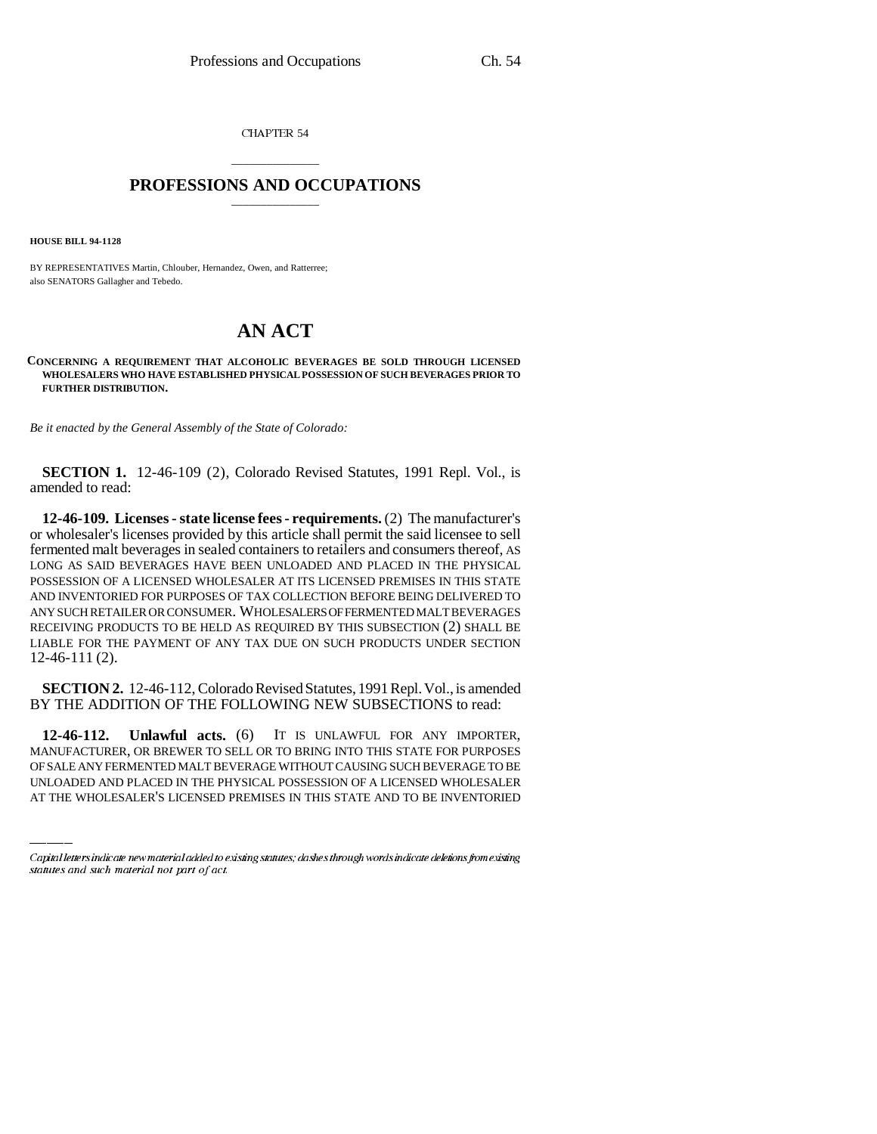CHAPTER 54

## \_\_\_\_\_\_\_\_\_\_\_\_\_\_\_ **PROFESSIONS AND OCCUPATIONS** \_\_\_\_\_\_\_\_\_\_\_\_\_\_\_

**HOUSE BILL 94-1128**

BY REPRESENTATIVES Martin, Chlouber, Hernandez, Owen, and Ratterree; also SENATORS Gallagher and Tebedo.

## **AN ACT**

**CONCERNING A REQUIREMENT THAT ALCOHOLIC BEVERAGES BE SOLD THROUGH LICENSED WHOLESALERS WHO HAVE ESTABLISHED PHYSICAL POSSESSION OF SUCH BEVERAGES PRIOR TO FURTHER DISTRIBUTION.**

*Be it enacted by the General Assembly of the State of Colorado:*

**SECTION 1.** 12-46-109 (2), Colorado Revised Statutes, 1991 Repl. Vol., is amended to read:

**12-46-109. Licenses - state license fees - requirements.** (2) The manufacturer's or wholesaler's licenses provided by this article shall permit the said licensee to sell fermented malt beverages in sealed containers to retailers and consumers thereof, AS LONG AS SAID BEVERAGES HAVE BEEN UNLOADED AND PLACED IN THE PHYSICAL POSSESSION OF A LICENSED WHOLESALER AT ITS LICENSED PREMISES IN THIS STATE AND INVENTORIED FOR PURPOSES OF TAX COLLECTION BEFORE BEING DELIVERED TO ANY SUCH RETAILER OR CONSUMER. WHOLESALERS OF FERMENTED MALT BEVERAGES RECEIVING PRODUCTS TO BE HELD AS REQUIRED BY THIS SUBSECTION (2) SHALL BE LIABLE FOR THE PAYMENT OF ANY TAX DUE ON SUCH PRODUCTS UNDER SECTION 12-46-111 (2).

**SECTION 2.** 12-46-112, Colorado Revised Statutes, 1991 Repl. Vol., is amended BY THE ADDITION OF THE FOLLOWING NEW SUBSECTIONS to read:

 $12-46-112.$ **12-46-112. Unlawful acts.** (6) IT IS UNLAWFUL FOR ANY IMPORTER, MANUFACTURER, OR BREWER TO SELL OR TO BRING INTO THIS STATE FOR PURPOSES OF SALE ANY FERMENTED MALT BEVERAGE WITHOUT CAUSING SUCH BEVERAGE TO BE UNLOADED AND PLACED IN THE PHYSICAL POSSESSION OF A LICENSED WHOLESALER AT THE WHOLESALER'S LICENSED PREMISES IN THIS STATE AND TO BE INVENTORIED

Capital letters indicate new material added to existing statutes; dashes through words indicate deletions from existing statutes and such material not part of act.